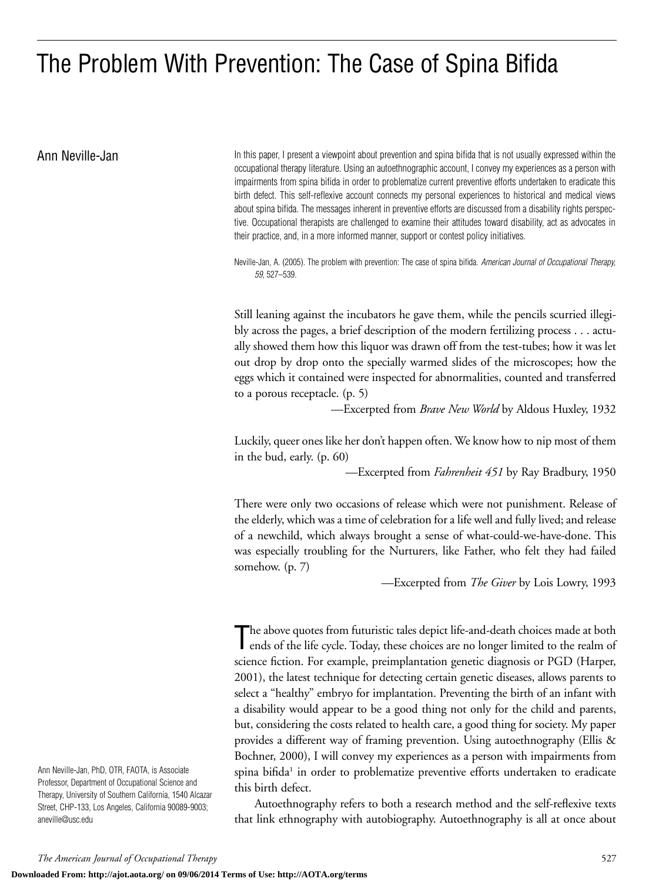# The Problem With Prevention: The Case of Spina Bifida

Ann Neville-Jan **In this paper, I present a viewpoint about prevention** and spina bifida that is not usually expressed within the occupational therapy literature. Using an autoethnographic account, I convey my experiences as a person with impairments from spina bifida in order to problematize current preventive efforts undertaken to eradicate this birth defect. This self-reflexive account connects my personal experiences to historical and medical views about spina bifida. The messages inherent in preventive efforts are discussed from a disability rights perspective. Occupational therapists are challenged to examine their attitudes toward disability, act as advocates in their practice, and, in a more informed manner, support or contest policy initiatives.

> Neville-Jan, A. (2005). The problem with prevention: The case of spina bifida. *American Journal of Occupational Therapy, 59,* 527–539.

> Still leaning against the incubators he gave them, while the pencils scurried illegibly across the pages, a brief description of the modern fertilizing process . . . actually showed them how this liquor was drawn off from the test-tubes; how it was let out drop by drop onto the specially warmed slides of the microscopes; how the eggs which it contained were inspected for abnormalities, counted and transferred to a porous receptacle. (p. 5)

> > —Excerpted from *Brave New World* by Aldous Huxley, 1932

Luckily, queer ones like her don't happen often. We know how to nip most of them in the bud, early. (p. 60)

—Excerpted from *Fahrenheit 451* by Ray Bradbury, 1950

There were only two occasions of release which were not punishment. Release of the elderly, which was a time of celebration for a life well and fully lived; and release of a newchild, which always brought a sense of what-could-we-have-done. This was especially troubling for the Nurturers, like Father, who felt they had failed somehow. (p. 7)

—Excerpted from *The Giver* by Lois Lowry, 1993

The above quotes from futuristic tales depict life-and-death choices made at both ends of the life cycle. Today, these choices are no longer limited to the realm of ends of the life cycle. Today, these choices are no longer limited to the realm of science fiction. For example, preimplantation genetic diagnosis or PGD (Harper, 2001), the latest technique for detecting certain genetic diseases, allows parents to select a "healthy" embryo for implantation. Preventing the birth of an infant with a disability would appear to be a good thing not only for the child and parents, but, considering the costs related to health care, a good thing for society. My paper provides a different way of framing prevention. Using autoethnography (Ellis & Bochner, 2000), I will convey my experiences as a person with impairments from spina bifida<sup>1</sup> in order to problematize preventive efforts undertaken to eradicate this birth defect.

Autoethnography refers to both a research method and the self-reflexive texts that link ethnography with autobiography. Autoethnography is all at once about

Ann Neville-Jan, PhD, OTR, FAOTA, is Associate Professor, Department of Occupational Science and Therapy, University of Southern California, 1540 Alcazar Street, CHP-133, Los Angeles, California 90089-9003; aneville@usc.edu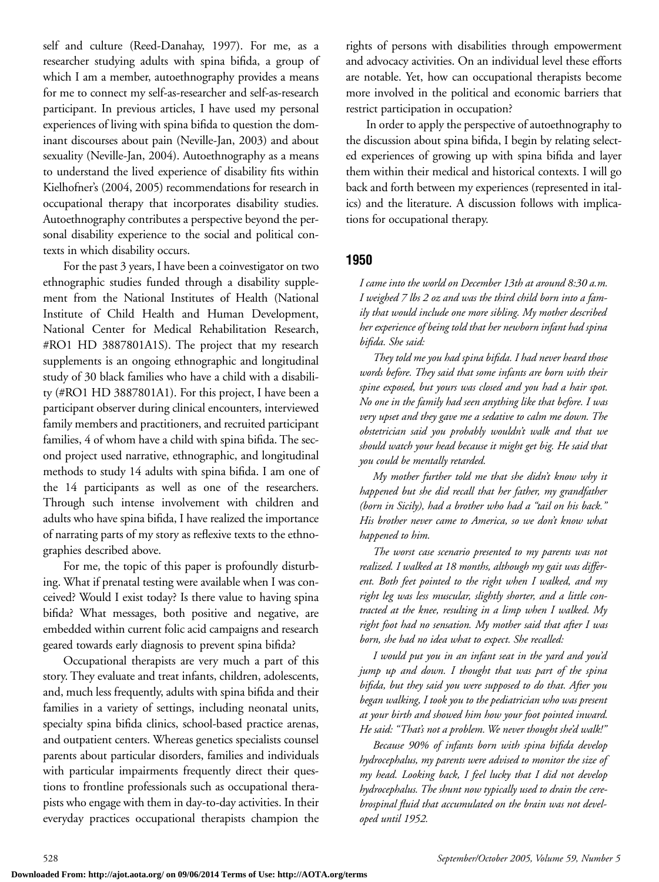self and culture (Reed-Danahay, 1997). For me, as a researcher studying adults with spina bifida, a group of which I am a member, autoethnography provides a means for me to connect my self-as-researcher and self-as-research participant. In previous articles, I have used my personal experiences of living with spina bifida to question the dominant discourses about pain (Neville-Jan, 2003) and about sexuality (Neville-Jan, 2004). Autoethnography as a means to understand the lived experience of disability fits within Kielhofner's (2004, 2005) recommendations for research in occupational therapy that incorporates disability studies. Autoethnography contributes a perspective beyond the personal disability experience to the social and political contexts in which disability occurs.

For the past 3 years, I have been a coinvestigator on two ethnographic studies funded through a disability supplement from the National Institutes of Health (National Institute of Child Health and Human Development, National Center for Medical Rehabilitation Research, #RO1 HD 3887801A1S). The project that my research supplements is an ongoing ethnographic and longitudinal study of 30 black families who have a child with a disability (#RO1 HD 3887801A1). For this project, I have been a participant observer during clinical encounters, interviewed family members and practitioners, and recruited participant families, 4 of whom have a child with spina bifida. The second project used narrative, ethnographic, and longitudinal methods to study 14 adults with spina bifida. I am one of the 14 participants as well as one of the researchers. Through such intense involvement with children and adults who have spina bifida, I have realized the importance of narrating parts of my story as reflexive texts to the ethnographies described above.

For me, the topic of this paper is profoundly disturbing. What if prenatal testing were available when I was conceived? Would I exist today? Is there value to having spina bifida? What messages, both positive and negative, are embedded within current folic acid campaigns and research geared towards early diagnosis to prevent spina bifida?

Occupational therapists are very much a part of this story. They evaluate and treat infants, children, adolescents, and, much less frequently, adults with spina bifida and their families in a variety of settings, including neonatal units, specialty spina bifida clinics, school-based practice arenas, and outpatient centers. Whereas genetics specialists counsel parents about particular disorders, families and individuals with particular impairments frequently direct their questions to frontline professionals such as occupational therapists who engage with them in day-to-day activities. In their everyday practices occupational therapists champion the rights of persons with disabilities through empowerment and advocacy activities. On an individual level these efforts are notable. Yet, how can occupational therapists become more involved in the political and economic barriers that restrict participation in occupation?

In order to apply the perspective of autoethnography to the discussion about spina bifida, I begin by relating selected experiences of growing up with spina bifida and layer them within their medical and historical contexts. I will go back and forth between my experiences (represented in italics) and the literature. A discussion follows with implications for occupational therapy.

#### **1950**

*I came into the world on December 13th at around 8:30 a.m. I weighed 7 lbs 2 oz and was the third child born into a family that would include one more sibling. My mother described her experience of being told that her newborn infant had spina bifida. She said:*

*They told me you had spina bifida. I had never heard those words before. They said that some infants are born with their spine exposed, but yours was closed and you had a hair spot. No one in the family had seen anything like that before. I was very upset and they gave me a sedative to calm me down. The obstetrician said you probably wouldn't walk and that we should watch your head because it might get big. He said that you could be mentally retarded.*

*My mother further told me that she didn't know why it happened but she did recall that her father, my grandfather (born in Sicily), had a brother who had a "tail on his back." His brother never came to America, so we don't know what happened to him.*

*The worst case scenario presented to my parents was not realized. I walked at 18 months, although my gait was different. Both feet pointed to the right when I walked, and my right leg was less muscular, slightly shorter, and a little contracted at the knee, resulting in a limp when I walked. My right foot had no sensation. My mother said that after I was born, she had no idea what to expect. She recalled:*

*I would put you in an infant seat in the yard and you'd jump up and down. I thought that was part of the spina bifida, but they said you were supposed to do that. After you began walking, I took you to the pediatrician who was present at your birth and showed him how your foot pointed inward. He said: "That's not a problem. We never thought she'd walk!"*

*Because 90% of infants born with spina bifida develop hydrocephalus, my parents were advised to monitor the size of my head. Looking back, I feel lucky that I did not develop hydrocephalus. The shunt now typically used to drain the cerebrospinal fluid that accumulated on the brain was not developed until 1952.*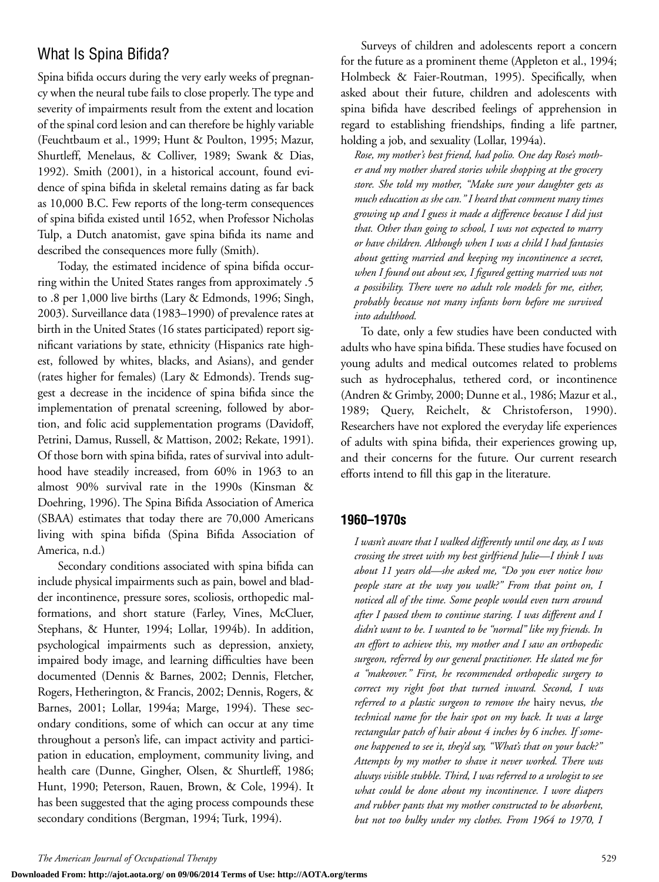### What Is Spina Bifida?

Spina bifida occurs during the very early weeks of pregnancy when the neural tube fails to close properly. The type and severity of impairments result from the extent and location of the spinal cord lesion and can therefore be highly variable (Feuchtbaum et al., 1999; Hunt & Poulton, 1995; Mazur, Shurtleff, Menelaus, & Colliver, 1989; Swank & Dias, 1992). Smith (2001), in a historical account, found evidence of spina bifida in skeletal remains dating as far back as 10,000 B.C. Few reports of the long-term consequences of spina bifida existed until 1652, when Professor Nicholas Tulp, a Dutch anatomist, gave spina bifida its name and described the consequences more fully (Smith).

Today, the estimated incidence of spina bifida occurring within the United States ranges from approximately .5 to .8 per 1,000 live births (Lary & Edmonds, 1996; Singh, 2003). Surveillance data (1983–1990) of prevalence rates at birth in the United States (16 states participated) report significant variations by state, ethnicity (Hispanics rate highest, followed by whites, blacks, and Asians), and gender (rates higher for females) (Lary & Edmonds). Trends suggest a decrease in the incidence of spina bifida since the implementation of prenatal screening, followed by abortion, and folic acid supplementation programs (Davidoff, Petrini, Damus, Russell, & Mattison, 2002; Rekate, 1991). Of those born with spina bifida, rates of survival into adulthood have steadily increased, from 60% in 1963 to an almost 90% survival rate in the 1990s (Kinsman & Doehring, 1996). The Spina Bifida Association of America (SBAA) estimates that today there are 70,000 Americans living with spina bifida (Spina Bifida Association of America, n.d.)

Secondary conditions associated with spina bifida can include physical impairments such as pain, bowel and bladder incontinence, pressure sores, scoliosis, orthopedic malformations, and short stature (Farley, Vines, McCluer, Stephans, & Hunter, 1994; Lollar, 1994b). In addition, psychological impairments such as depression, anxiety, impaired body image, and learning difficulties have been documented (Dennis & Barnes, 2002; Dennis, Fletcher, Rogers, Hetherington, & Francis, 2002; Dennis, Rogers, & Barnes, 2001; Lollar, 1994a; Marge, 1994). These secondary conditions, some of which can occur at any time throughout a person's life, can impact activity and participation in education, employment, community living, and health care (Dunne, Gingher, Olsen, & Shurtleff, 1986; Hunt, 1990; Peterson, Rauen, Brown, & Cole, 1994). It has been suggested that the aging process compounds these secondary conditions (Bergman, 1994; Turk, 1994).

Surveys of children and adolescents report a concern for the future as a prominent theme (Appleton et al., 1994; Holmbeck & Faier-Routman, 1995). Specifically, when asked about their future, children and adolescents with spina bifida have described feelings of apprehension in regard to establishing friendships, finding a life partner, holding a job, and sexuality (Lollar, 1994a).

*Rose, my mother's best friend, had polio. One day Rose's mother and my mother shared stories while shopping at the grocery store. She told my mother, "Make sure your daughter gets as much education as she can." I heard that comment many times growing up and I guess it made a difference because I did just that. Other than going to school, I was not expected to marry or have children. Although when I was a child I had fantasies about getting married and keeping my incontinence a secret, when I found out about sex, I figured getting married was not a possibility. There were no adult role models for me, either, probably because not many infants born before me survived into adulthood.*

To date, only a few studies have been conducted with adults who have spina bifida. These studies have focused on young adults and medical outcomes related to problems such as hydrocephalus, tethered cord, or incontinence (Andren & Grimby, 2000; Dunne et al., 1986; Mazur et al., 1989; Query, Reichelt, & Christoferson, 1990). Researchers have not explored the everyday life experiences of adults with spina bifida, their experiences growing up, and their concerns for the future. Our current research efforts intend to fill this gap in the literature.

#### **1960–1970s**

*I wasn't aware that I walked differently until one day, as I was crossing the street with my best girlfriend Julie—I think I was about 11 years old—she asked me, "Do you ever notice how people stare at the way you walk?" From that point on, I noticed all of the time. Some people would even turn around after I passed them to continue staring. I was different and I didn't want to be. I wanted to be "normal" like my friends. In an effort to achieve this, my mother and I saw an orthopedic surgeon, referred by our general practitioner. He slated me for a "makeover." First, he recommended orthopedic surgery to correct my right foot that turned inward. Second, I was referred to a plastic surgeon to remove the* hairy nevus*, the technical name for the hair spot on my back. It was a large rectangular patch of hair about 4 inches by 6 inches. If someone happened to see it, they'd say, "What's that on your back?" Attempts by my mother to shave it never worked. There was always visible stubble. Third, I was referred to a urologist to see what could be done about my incontinence. I wore diapers and rubber pants that my mother constructed to be absorbent, but not too bulky under my clothes. From 1964 to 1970, I*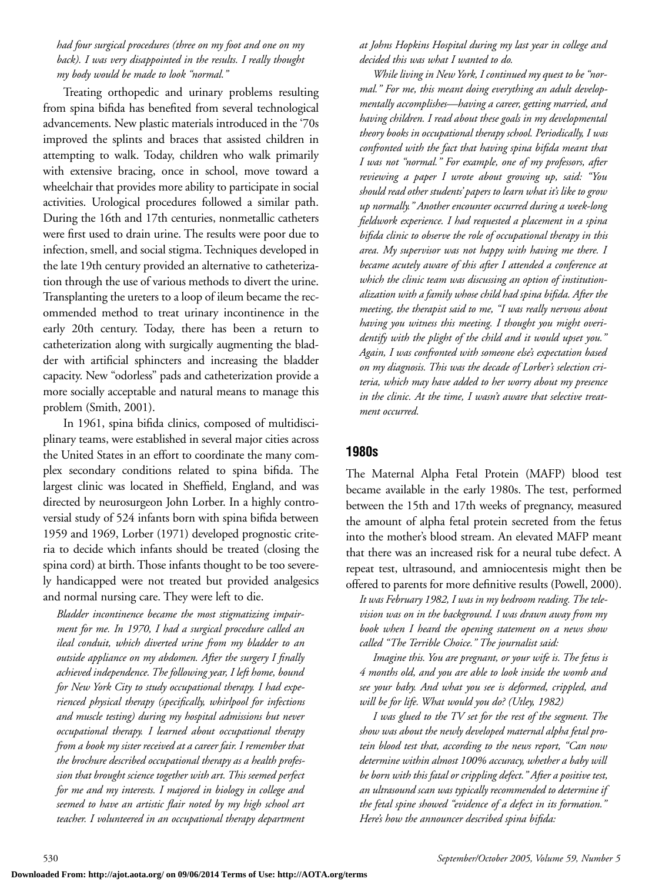#### *had four surgical procedures (three on my foot and one on my back). I was very disappointed in the results. I really thought my body would be made to look "normal."*

Treating orthopedic and urinary problems resulting from spina bifida has benefited from several technological advancements. New plastic materials introduced in the '70s improved the splints and braces that assisted children in attempting to walk. Today, children who walk primarily with extensive bracing, once in school, move toward a wheelchair that provides more ability to participate in social activities. Urological procedures followed a similar path. During the 16th and 17th centuries, nonmetallic catheters were first used to drain urine. The results were poor due to infection, smell, and social stigma. Techniques developed in the late 19th century provided an alternative to catheterization through the use of various methods to divert the urine. Transplanting the ureters to a loop of ileum became the recommended method to treat urinary incontinence in the early 20th century. Today, there has been a return to catheterization along with surgically augmenting the bladder with artificial sphincters and increasing the bladder capacity. New "odorless" pads and catheterization provide a more socially acceptable and natural means to manage this problem (Smith, 2001).

In 1961, spina bifida clinics, composed of multidisciplinary teams, were established in several major cities across the United States in an effort to coordinate the many complex secondary conditions related to spina bifida. The largest clinic was located in Sheffield, England, and was directed by neurosurgeon John Lorber. In a highly controversial study of 524 infants born with spina bifida between 1959 and 1969, Lorber (1971) developed prognostic criteria to decide which infants should be treated (closing the spina cord) at birth. Those infants thought to be too severely handicapped were not treated but provided analgesics and normal nursing care. They were left to die.

*Bladder incontinence became the most stigmatizing impairment for me. In 1970, I had a surgical procedure called an ileal conduit, which diverted urine from my bladder to an outside appliance on my abdomen. After the surgery I finally achieved independence. The following year, I left home, bound for New York City to study occupational therapy. I had experienced physical therapy (specifically, whirlpool for infections and muscle testing) during my hospital admissions but never occupational therapy. I learned about occupational therapy from a book my sister received at a career fair. I remember that the brochure described occupational therapy as a health profession that brought science together with art. This seemed perfect for me and my interests. I majored in biology in college and seemed to have an artistic flair noted by my high school art teacher. I volunteered in an occupational therapy department* *at Johns Hopkins Hospital during my last year in college and decided this was what I wanted to do.*

*While living in New York, I continued my quest to be "normal." For me, this meant doing everything an adult developmentally accomplishes—having a career, getting married, and having children. I read about these goals in my developmental theory books in occupational therapy school. Periodically, I was confronted with the fact that having spina bifida meant that I was not "normal." For example, one of my professors, after reviewing a paper I wrote about growing up, said: "You should read other students' papers to learn what it's like to grow up normally." Another encounter occurred during a week-long fieldwork experience. I had requested a placement in a spina bifida clinic to observe the role of occupational therapy in this area. My supervisor was not happy with having me there. I became acutely aware of this after I attended a conference at which the clinic team was discussing an option of institutionalization with a family whose child had spina bifida. After the meeting, the therapist said to me, "I was really nervous about having you witness this meeting. I thought you might overidentify with the plight of the child and it would upset you." Again, I was confronted with someone else's expectation based on my diagnosis. This was the decade of Lorber's selection criteria, which may have added to her worry about my presence in the clinic. At the time, I wasn't aware that selective treatment occurred.*

#### **1980s**

The Maternal Alpha Fetal Protein (MAFP) blood test became available in the early 1980s. The test, performed between the 15th and 17th weeks of pregnancy, measured the amount of alpha fetal protein secreted from the fetus into the mother's blood stream. An elevated MAFP meant that there was an increased risk for a neural tube defect. A repeat test, ultrasound, and amniocentesis might then be offered to parents for more definitive results (Powell, 2000).

*It was February 1982, I was in my bedroom reading. The television was on in the background. I was drawn away from my book when I heard the opening statement on a news show called "The Terrible Choice." The journalist said:*

*Imagine this. You are pregnant, or your wife is. The fetus is 4 months old, and you are able to look inside the womb and see your baby. And what you see is deformed, crippled, and will be for life. What would you do? (Utley, 1982)*

*I was glued to the TV set for the rest of the segment. The show was about the newly developed maternal alpha fetal protein blood test that, according to the news report, "Can now determine within almost 100% accuracy, whether a baby will be born with this fatal or crippling defect." After a positive test, an ultrasound scan was typically recommended to determine if the fetal spine showed "evidence of a defect in its formation." Here's how the announcer described spina bifida:*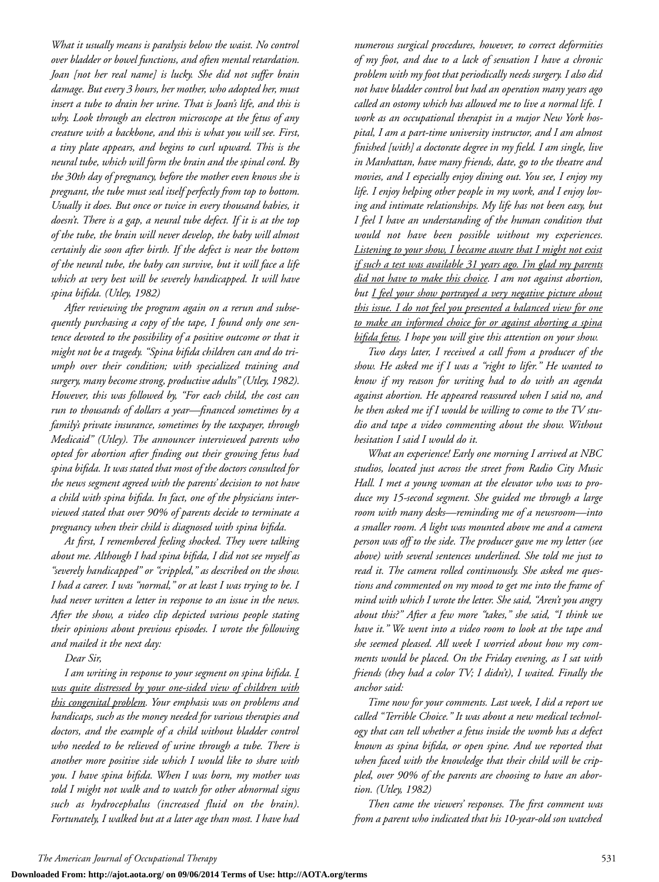*What it usually means is paralysis below the waist. No control over bladder or bowel functions, and often mental retardation. Joan [not her real name] is lucky. She did not suffer brain damage. But every 3 hours, her mother, who adopted her, must insert a tube to drain her urine. That is Joan's life, and this is why. Look through an electron microscope at the fetus of any creature with a backbone, and this is what you will see. First, a tiny plate appears, and begins to curl upward. This is the neural tube, which will form the brain and the spinal cord. By the 30th day of pregnancy, before the mother even knows she is pregnant, the tube must seal itself perfectly from top to bottom. Usually it does. But once or twice in every thousand babies, it doesn't. There is a gap, a neural tube defect. If it is at the top of the tube, the brain will never develop, the baby will almost certainly die soon after birth. If the defect is near the bottom of the neural tube, the baby can survive, but it will face a life which at very best will be severely handicapped. It will have spina bifida. (Utley, 1982)*

*After reviewing the program again on a rerun and subsequently purchasing a copy of the tape, I found only one sentence devoted to the possibility of a positive outcome or that it might not be a tragedy. "Spina bifida children can and do triumph over their condition; with specialized training and surgery, many become strong, productive adults" (Utley, 1982). However, this was followed by, "For each child, the cost can run to thousands of dollars a year—financed sometimes by a family's private insurance, sometimes by the taxpayer, through Medicaid" (Utley). The announcer interviewed parents who opted for abortion after finding out their growing fetus had spina bifida. It was stated that most of the doctors consulted for the news segment agreed with the parents' decision to not have a child with spina bifida. In fact, one of the physicians interviewed stated that over 90% of parents decide to terminate a pregnancy when their child is diagnosed with spina bifida.*

*At first, I remembered feeling shocked. They were talking about me. Although I had spina bifida, I did not see myself as "severely handicapped" or "crippled," as described on the show. I had a career. I was "normal," or at least I was trying to be. I had never written a letter in response to an issue in the news. After the show, a video clip depicted various people stating their opinions about previous episodes. I wrote the following and mailed it the next day:*

*Dear Sir,*

*I am writing in response to your segment on spina bifida. I was quite distressed by your one-sided view of children with this congenital problem. Your emphasis was on problems and handicaps, such as the money needed for various therapies and doctors, and the example of a child without bladder control who needed to be relieved of urine through a tube. There is another more positive side which I would like to share with you. I have spina bifida. When I was born, my mother was told I might not walk and to watch for other abnormal signs such as hydrocephalus (increased fluid on the brain). Fortunately, I walked but at a later age than most. I have had*

*numerous surgical procedures, however, to correct deformities of my foot, and due to a lack of sensation I have a chronic problem with my foot that periodically needs surgery. I also did not have bladder control but had an operation many years ago called an ostomy which has allowed me to live a normal life. I work as an occupational therapist in a major New York hospital, I am a part-time university instructor, and I am almost finished [with] a doctorate degree in my field. I am single, live in Manhattan, have many friends, date, go to the theatre and movies, and I especially enjoy dining out. You see, I enjoy my life. I enjoy helping other people in my work, and I enjoy loving and intimate relationships. My life has not been easy, but I feel I have an understanding of the human condition that would not have been possible without my experiences. Listening to your show, I became aware that I might not exist if such a test was available 31 years ago. I'm glad my parents did not have to make this choice. I am not against abortion, but I feel your show portrayed a very negative picture about this issue. I do not feel you presented a balanced view for one to make an informed choice for or against aborting a spina bifida fetus. I hope you will give this attention on your show.*

*Two days later, I received a call from a producer of the show. He asked me if I was a "right to lifer." He wanted to know if my reason for writing had to do with an agenda against abortion. He appeared reassured when I said no, and he then asked me if I would be willing to come to the TV studio and tape a video commenting about the show. Without hesitation I said I would do it.*

*What an experience! Early one morning I arrived at NBC studios, located just across the street from Radio City Music Hall. I met a young woman at the elevator who was to produce my 15-second segment. She guided me through a large room with many desks—reminding me of a newsroom—into a smaller room. A light was mounted above me and a camera person was off to the side. The producer gave me my letter (see above) with several sentences underlined. She told me just to read it. The camera rolled continuously. She asked me questions and commented on my mood to get me into the frame of mind with which I wrote the letter. She said, "Aren't you angry about this?" After a few more "takes," she said, "I think we have it." We went into a video room to look at the tape and she seemed pleased. All week I worried about how my comments would be placed. On the Friday evening, as I sat with friends (they had a color TV; I didn't), I waited. Finally the anchor said:*

*Time now for your comments. Last week, I did a report we called "Terrible Choice." It was about a new medical technology that can tell whether a fetus inside the womb has a defect known as spina bifida, or open spine. And we reported that when faced with the knowledge that their child will be crippled, over 90% of the parents are choosing to have an abortion. (Utley, 1982)*

*Then came the viewers' responses. The first comment was from a parent who indicated that his 10-year-old son watched*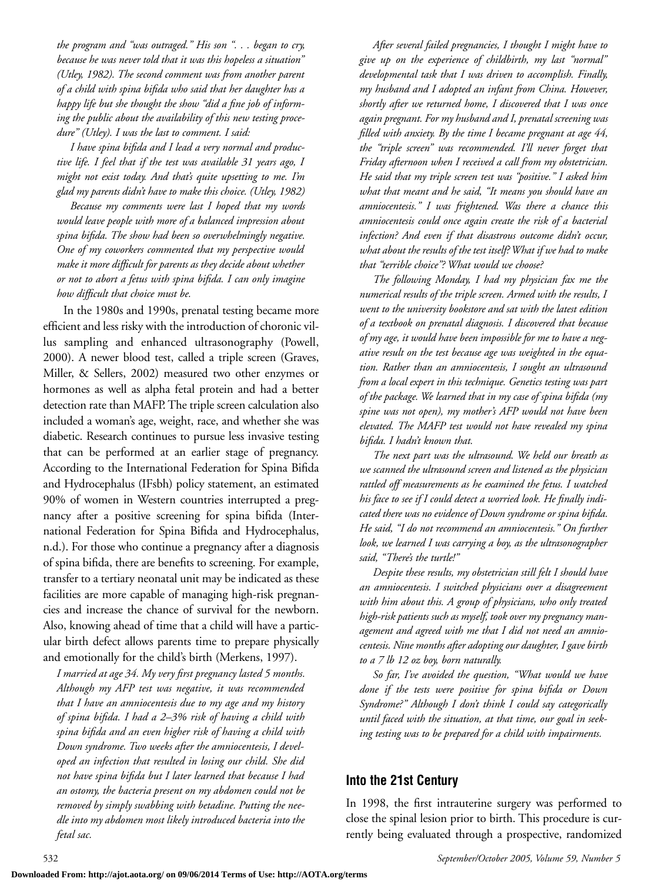*the program and "was outraged." His son ". . . began to cry, because he was never told that it was this hopeless a situation" (Utley, 1982). The second comment was from another parent of a child with spina bifida who said that her daughter has a happy life but she thought the show "did a fine job of informing the public about the availability of this new testing procedure" (Utley). I was the last to comment. I said:*

*I have spina bifida and I lead a very normal and productive life. I feel that if the test was available 31 years ago, I might not exist today. And that's quite upsetting to me. I'm glad my parents didn't have to make this choice. (Utley, 1982)*

*Because my comments were last I hoped that my words would leave people with more of a balanced impression about spina bifida. The show had been so overwhelmingly negative. One of my coworkers commented that my perspective would make it more difficult for parents as they decide about whether or not to abort a fetus with spina bifida. I can only imagine how difficult that choice must be.*

In the 1980s and 1990s, prenatal testing became more efficient and less risky with the introduction of choronic villus sampling and enhanced ultrasonography (Powell, 2000). A newer blood test, called a triple screen (Graves, Miller, & Sellers, 2002) measured two other enzymes or hormones as well as alpha fetal protein and had a better detection rate than MAFP.The triple screen calculation also included a woman's age, weight, race, and whether she was diabetic. Research continues to pursue less invasive testing that can be performed at an earlier stage of pregnancy. According to the International Federation for Spina Bifida and Hydrocephalus (IFsbh) policy statement, an estimated 90% of women in Western countries interrupted a pregnancy after a positive screening for spina bifida (International Federation for Spina Bifida and Hydrocephalus, n.d.). For those who continue a pregnancy after a diagnosis of spina bifida, there are benefits to screening. For example, transfer to a tertiary neonatal unit may be indicated as these facilities are more capable of managing high-risk pregnancies and increase the chance of survival for the newborn. Also, knowing ahead of time that a child will have a particular birth defect allows parents time to prepare physically and emotionally for the child's birth (Merkens, 1997).

*I married at age 34. My very first pregnancy lasted 5 months. Although my AFP test was negative, it was recommended that I have an amniocentesis due to my age and my history of spina bifida. I had a 2–3% risk of having a child with spina bifida and an even higher risk of having a child with Down syndrome. Two weeks after the amniocentesis, I developed an infection that resulted in losing our child. She did not have spina bifida but I later learned that because I had an ostomy, the bacteria present on my abdomen could not be removed by simply swabbing with betadine. Putting the needle into my abdomen most likely introduced bacteria into the fetal sac.*

*After several failed pregnancies, I thought I might have to give up on the experience of childbirth, my last "normal" developmental task that I was driven to accomplish. Finally, my husband and I adopted an infant from China. However, shortly after we returned home, I discovered that I was once again pregnant. For my husband and I, prenatal screening was filled with anxiety. By the time I became pregnant at age 44, the "triple screen" was recommended. I'll never forget that Friday afternoon when I received a call from my obstetrician. He said that my triple screen test was "positive." I asked him what that meant and he said, "It means you should have an amniocentesis." I was frightened. Was there a chance this amniocentesis could once again create the risk of a bacterial infection? And even if that disastrous outcome didn't occur, what about the results of the test itself? What if we had to make that "terrible choice"? What would we choose?*

*The following Monday, I had my physician fax me the numerical results of the triple screen. Armed with the results, I went to the university bookstore and sat with the latest edition of a textbook on prenatal diagnosis. I discovered that because of my age, it would have been impossible for me to have a negative result on the test because age was weighted in the equation. Rather than an amniocentesis, I sought an ultrasound from a local expert in this technique. Genetics testing was part of the package. We learned that in my case of spina bifida (my spine was not open), my mother's AFP would not have been elevated. The MAFP test would not have revealed my spina bifida. I hadn't known that.*

*The next part was the ultrasound. We held our breath as we scanned the ultrasound screen and listened as the physician rattled off measurements as he examined the fetus. I watched his face to see if I could detect a worried look. He finally indicated there was no evidence of Down syndrome or spina bifida. He said, "I do not recommend an amniocentesis." On further look, we learned I was carrying a boy, as the ultrasonographer said, "There's the turtle!"*

*Despite these results, my obstetrician still felt I should have an amniocentesis. I switched physicians over a disagreement with him about this. A group of physicians, who only treated high-risk patients such as myself, took over my pregnancy management and agreed with me that I did not need an amniocentesis. Nine months after adopting our daughter, I gave birth to a 7 lb 12 oz boy, born naturally.*

*So far, I've avoided the question, "What would we have done if the tests were positive for spina bifida or Down Syndrome?" Although I don't think I could say categorically until faced with the situation, at that time, our goal in seeking testing was to be prepared for a child with impairments.*

#### **Into the 21st Century**

In 1998, the first intrauterine surgery was performed to close the spinal lesion prior to birth. This procedure is currently being evaluated through a prospective, randomized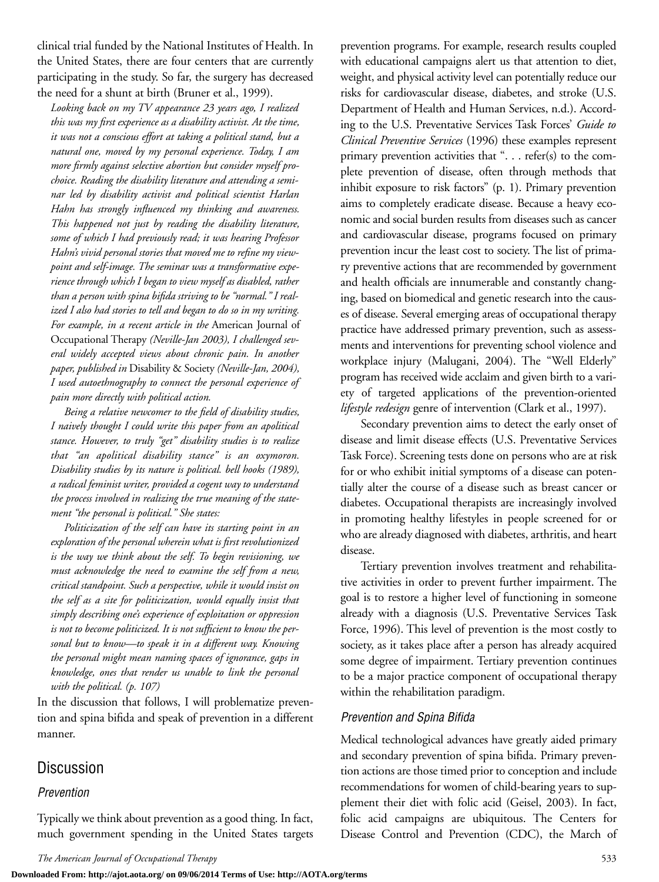clinical trial funded by the National Institutes of Health. In the United States, there are four centers that are currently participating in the study. So far, the surgery has decreased the need for a shunt at birth (Bruner et al., 1999).

*Looking back on my TV appearance 23 years ago, I realized this was my first experience as a disability activist. At the time, it was not a conscious effort at taking a political stand, but a natural one, moved by my personal experience. Today, I am more firmly against selective abortion but consider myself prochoice. Reading the disability literature and attending a seminar led by disability activist and political scientist Harlan Hahn has strongly influenced my thinking and awareness. This happened not just by reading the disability literature, some of which I had previously read; it was hearing Professor Hahn's vivid personal stories that moved me to refine my viewpoint and self-image. The seminar was a transformative experience through which I began to view myself as disabled, rather than a person with spina bifida striving to be "normal." I realized I also had stories to tell and began to do so in my writing. For example, in a recent article in the* American Journal of Occupational Therapy *(Neville-Jan 2003), I challenged several widely accepted views about chronic pain. In another paper, published in* Disability & Society *(Neville-Jan, 2004), I used autoethnography to connect the personal experience of pain more directly with political action.*

*Being a relative newcomer to the field of disability studies, I naively thought I could write this paper from an apolitical stance. However, to truly "get" disability studies is to realize that "an apolitical disability stance" is an oxymoron. Disability studies by its nature is political. bell hooks (1989), a radical feminist writer, provided a cogent way to understand the process involved in realizing the true meaning of the statement "the personal is political." She states:*

*Politicization of the self can have its starting point in an exploration of the personal wherein what is first revolutionized is the way we think about the self. To begin revisioning, we must acknowledge the need to examine the self from a new, critical standpoint. Such a perspective, while it would insist on the self as a site for politicization, would equally insist that simply describing one's experience of exploitation or oppression is not to become politicized. It is not sufficient to know the personal but to know—to speak it in a different way. Knowing the personal might mean naming spaces of ignorance, gaps in knowledge, ones that render us unable to link the personal with the political. (p. 107)*

In the discussion that follows, I will problematize prevention and spina bifida and speak of prevention in a different manner.

### Discussion

#### *Prevention*

Typically we think about prevention as a good thing. In fact, much government spending in the United States targets prevention programs. For example, research results coupled with educational campaigns alert us that attention to diet, weight, and physical activity level can potentially reduce our risks for cardiovascular disease, diabetes, and stroke (U.S. Department of Health and Human Services, n.d.). According to the U.S. Preventative Services Task Forces' *Guide to Clinical Preventive Services* (1996) these examples represent primary prevention activities that ". . . refer(s) to the complete prevention of disease, often through methods that inhibit exposure to risk factors" (p. 1). Primary prevention aims to completely eradicate disease. Because a heavy economic and social burden results from diseases such as cancer and cardiovascular disease, programs focused on primary prevention incur the least cost to society. The list of primary preventive actions that are recommended by government and health officials are innumerable and constantly changing, based on biomedical and genetic research into the causes of disease. Several emerging areas of occupational therapy practice have addressed primary prevention, such as assessments and interventions for preventing school violence and workplace injury (Malugani, 2004). The "Well Elderly" program has received wide acclaim and given birth to a variety of targeted applications of the prevention-oriented *lifestyle redesign* genre of intervention (Clark et al., 1997).

Secondary prevention aims to detect the early onset of disease and limit disease effects (U.S. Preventative Services Task Force). Screening tests done on persons who are at risk for or who exhibit initial symptoms of a disease can potentially alter the course of a disease such as breast cancer or diabetes. Occupational therapists are increasingly involved in promoting healthy lifestyles in people screened for or who are already diagnosed with diabetes, arthritis, and heart disease.

Tertiary prevention involves treatment and rehabilitative activities in order to prevent further impairment. The goal is to restore a higher level of functioning in someone already with a diagnosis (U.S. Preventative Services Task Force, 1996). This level of prevention is the most costly to society, as it takes place after a person has already acquired some degree of impairment. Tertiary prevention continues to be a major practice component of occupational therapy within the rehabilitation paradigm.

#### *Prevention and Spina Bifida*

Medical technological advances have greatly aided primary and secondary prevention of spina bifida. Primary prevention actions are those timed prior to conception and include recommendations for women of child-bearing years to supplement their diet with folic acid (Geisel, 2003). In fact, folic acid campaigns are ubiquitous. The Centers for Disease Control and Prevention (CDC), the March of

**Downloaded From: http://ajot.aota.org/ on 09/06/2014 Terms of Use: http://AOTA.org/terms**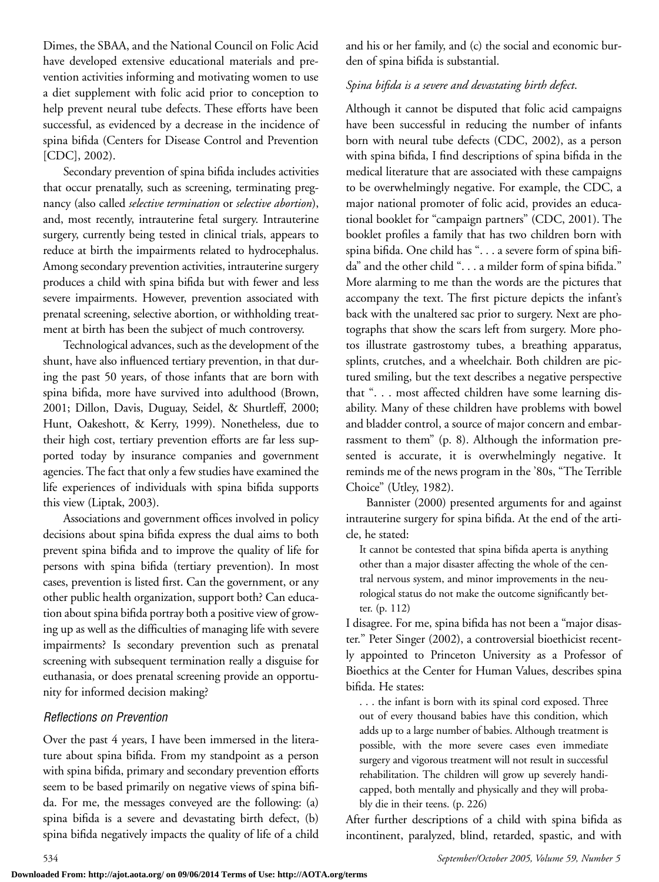Dimes, the SBAA, and the National Council on Folic Acid have developed extensive educational materials and prevention activities informing and motivating women to use a diet supplement with folic acid prior to conception to help prevent neural tube defects. These efforts have been successful, as evidenced by a decrease in the incidence of spina bifida (Centers for Disease Control and Prevention [CDC], 2002).

Secondary prevention of spina bifida includes activities that occur prenatally, such as screening, terminating pregnancy (also called *selective termination* or *selective abortion*), and, most recently, intrauterine fetal surgery. Intrauterine surgery, currently being tested in clinical trials, appears to reduce at birth the impairments related to hydrocephalus. Among secondary prevention activities, intrauterine surgery produces a child with spina bifida but with fewer and less severe impairments. However, prevention associated with prenatal screening, selective abortion, or withholding treatment at birth has been the subject of much controversy.

Technological advances, such as the development of the shunt, have also influenced tertiary prevention, in that during the past 50 years, of those infants that are born with spina bifida, more have survived into adulthood (Brown, 2001; Dillon, Davis, Duguay, Seidel, & Shurtleff, 2000; Hunt, Oakeshott, & Kerry, 1999). Nonetheless, due to their high cost, tertiary prevention efforts are far less supported today by insurance companies and government agencies. The fact that only a few studies have examined the life experiences of individuals with spina bifida supports this view (Liptak, 2003).

Associations and government offices involved in policy decisions about spina bifida express the dual aims to both prevent spina bifida and to improve the quality of life for persons with spina bifida (tertiary prevention). In most cases, prevention is listed first. Can the government, or any other public health organization, support both? Can education about spina bifida portray both a positive view of growing up as well as the difficulties of managing life with severe impairments? Is secondary prevention such as prenatal screening with subsequent termination really a disguise for euthanasia, or does prenatal screening provide an opportunity for informed decision making?

#### *Reflections on Prevention*

Over the past 4 years, I have been immersed in the literature about spina bifida. From my standpoint as a person with spina bifida, primary and secondary prevention efforts seem to be based primarily on negative views of spina bifida. For me, the messages conveyed are the following: (a) spina bifida is a severe and devastating birth defect, (b) spina bifida negatively impacts the quality of life of a child and his or her family, and (c) the social and economic burden of spina bifida is substantial.

#### *Spina bifida is a severe and devastating birth defect*.

Although it cannot be disputed that folic acid campaigns have been successful in reducing the number of infants born with neural tube defects (CDC, 2002), as a person with spina bifida, I find descriptions of spina bifida in the medical literature that are associated with these campaigns to be overwhelmingly negative. For example, the CDC, a major national promoter of folic acid, provides an educational booklet for "campaign partners" (CDC, 2001). The booklet profiles a family that has two children born with spina bifida. One child has ". . . a severe form of spina bifida" and the other child ". . . a milder form of spina bifida." More alarming to me than the words are the pictures that accompany the text. The first picture depicts the infant's back with the unaltered sac prior to surgery. Next are photographs that show the scars left from surgery. More photos illustrate gastrostomy tubes, a breathing apparatus, splints, crutches, and a wheelchair. Both children are pictured smiling, but the text describes a negative perspective that ". . . most affected children have some learning disability. Many of these children have problems with bowel and bladder control, a source of major concern and embarrassment to them" (p. 8). Although the information presented is accurate, it is overwhelmingly negative. It reminds me of the news program in the '80s, "The Terrible Choice" (Utley, 1982).

Bannister (2000) presented arguments for and against intrauterine surgery for spina bifida. At the end of the article, he stated:

It cannot be contested that spina bifida aperta is anything other than a major disaster affecting the whole of the central nervous system, and minor improvements in the neurological status do not make the outcome significantly better. (p. 112)

I disagree. For me, spina bifida has not been a "major disaster." Peter Singer (2002), a controversial bioethicist recently appointed to Princeton University as a Professor of Bioethics at the Center for Human Values, describes spina bifida. He states:

. . . the infant is born with its spinal cord exposed. Three out of every thousand babies have this condition, which adds up to a large number of babies. Although treatment is possible, with the more severe cases even immediate surgery and vigorous treatment will not result in successful rehabilitation. The children will grow up severely handicapped, both mentally and physically and they will probably die in their teens. (p. 226)

After further descriptions of a child with spina bifida as incontinent, paralyzed, blind, retarded, spastic, and with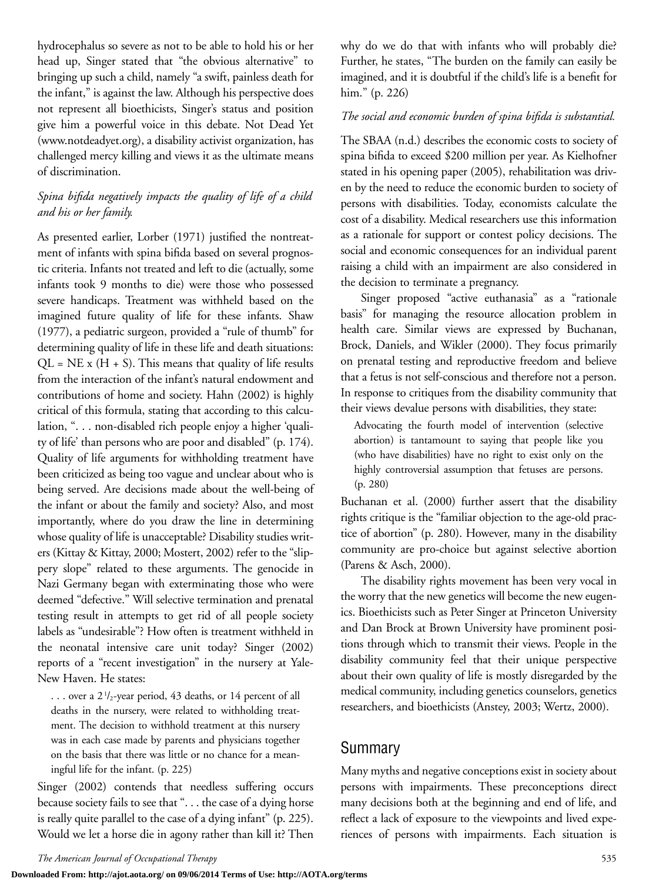hydrocephalus so severe as not to be able to hold his or her head up, Singer stated that "the obvious alternative" to bringing up such a child, namely "a swift, painless death for the infant," is against the law. Although his perspective does not represent all bioethicists, Singer's status and position give him a powerful voice in this debate. Not Dead Yet (www.notdeadyet.org), a disability activist organization, has challenged mercy killing and views it as the ultimate means of discrimination.

#### *Spina bifida negatively impacts the quality of life of a child and his or her family.*

As presented earlier, Lorber (1971) justified the nontreatment of infants with spina bifida based on several prognostic criteria. Infants not treated and left to die (actually, some infants took 9 months to die) were those who possessed severe handicaps. Treatment was withheld based on the imagined future quality of life for these infants. Shaw (1977), a pediatric surgeon, provided a "rule of thumb" for determining quality of life in these life and death situations:  $QL = NE x (H + S)$ . This means that quality of life results from the interaction of the infant's natural endowment and contributions of home and society. Hahn (2002) is highly critical of this formula, stating that according to this calculation, ". . . non-disabled rich people enjoy a higher 'quality of life' than persons who are poor and disabled" (p. 174). Quality of life arguments for withholding treatment have been criticized as being too vague and unclear about who is being served. Are decisions made about the well-being of the infant or about the family and society? Also, and most importantly, where do you draw the line in determining whose quality of life is unacceptable? Disability studies writers (Kittay & Kittay, 2000; Mostert, 2002) refer to the "slippery slope" related to these arguments. The genocide in Nazi Germany began with exterminating those who were deemed "defective." Will selective termination and prenatal testing result in attempts to get rid of all people society labels as "undesirable"? How often is treatment withheld in the neonatal intensive care unit today? Singer (2002) reports of a "recent investigation" in the nursery at Yale-New Haven. He states:

. . . over a 21 /2-year period, 43 deaths, or 14 percent of all deaths in the nursery, were related to withholding treatment. The decision to withhold treatment at this nursery was in each case made by parents and physicians together on the basis that there was little or no chance for a meaningful life for the infant. (p. 225)

Singer (2002) contends that needless suffering occurs because society fails to see that ". . . the case of a dying horse is really quite parallel to the case of a dying infant" (p. 225). Would we let a horse die in agony rather than kill it? Then why do we do that with infants who will probably die? Further, he states, "The burden on the family can easily be imagined, and it is doubtful if the child's life is a benefit for him." (p. 226)

#### *The social and economic burden of spina bifida is substantial.*

The SBAA (n.d.) describes the economic costs to society of spina bifida to exceed \$200 million per year. As Kielhofner stated in his opening paper (2005), rehabilitation was driven by the need to reduce the economic burden to society of persons with disabilities. Today, economists calculate the cost of a disability. Medical researchers use this information as a rationale for support or contest policy decisions. The social and economic consequences for an individual parent raising a child with an impairment are also considered in the decision to terminate a pregnancy.

Singer proposed "active euthanasia" as a "rationale basis" for managing the resource allocation problem in health care. Similar views are expressed by Buchanan, Brock, Daniels, and Wikler (2000). They focus primarily on prenatal testing and reproductive freedom and believe that a fetus is not self-conscious and therefore not a person. In response to critiques from the disability community that their views devalue persons with disabilities, they state:

Advocating the fourth model of intervention (selective abortion) is tantamount to saying that people like you (who have disabilities) have no right to exist only on the highly controversial assumption that fetuses are persons. (p. 280)

Buchanan et al. (2000) further assert that the disability rights critique is the "familiar objection to the age-old practice of abortion" (p. 280). However, many in the disability community are pro-choice but against selective abortion (Parens & Asch, 2000).

The disability rights movement has been very vocal in the worry that the new genetics will become the new eugenics. Bioethicists such as Peter Singer at Princeton University and Dan Brock at Brown University have prominent positions through which to transmit their views. People in the disability community feel that their unique perspective about their own quality of life is mostly disregarded by the medical community, including genetics counselors, genetics researchers, and bioethicists (Anstey, 2003; Wertz, 2000).

#### Summary

Many myths and negative conceptions exist in society about persons with impairments. These preconceptions direct many decisions both at the beginning and end of life, and reflect a lack of exposure to the viewpoints and lived experiences of persons with impairments. Each situation is

**Downloaded From: http://ajot.aota.org/ on 09/06/2014 Terms of Use: http://AOTA.org/terms**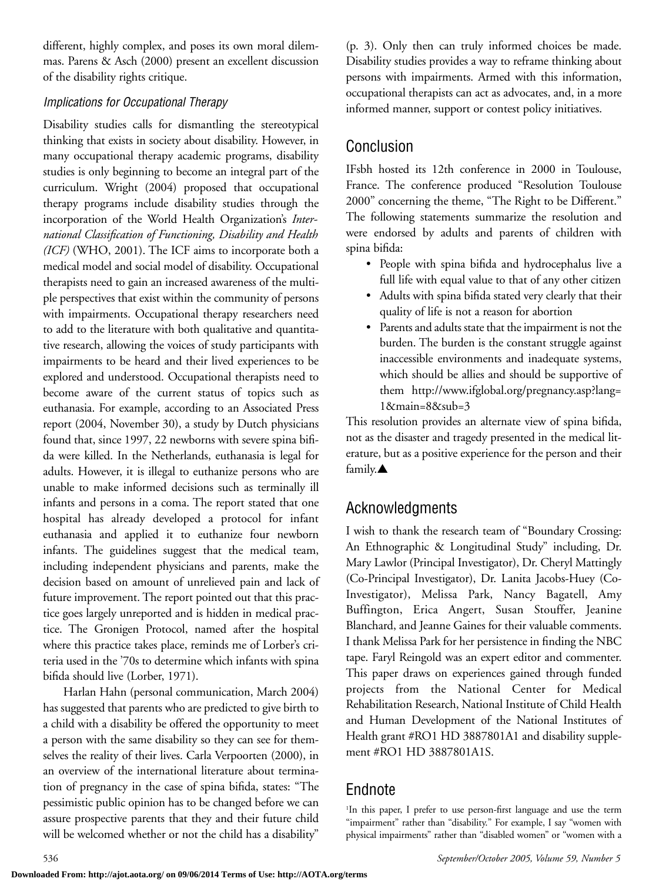different, highly complex, and poses its own moral dilemmas. Parens & Asch (2000) present an excellent discussion of the disability rights critique.

#### *Implications for Occupational Therapy*

Disability studies calls for dismantling the stereotypical thinking that exists in society about disability. However, in many occupational therapy academic programs, disability studies is only beginning to become an integral part of the curriculum. Wright (2004) proposed that occupational therapy programs include disability studies through the incorporation of the World Health Organization's *International Classification of Functioning, Disability and Health (ICF)* (WHO, 2001). The ICF aims to incorporate both a medical model and social model of disability. Occupational therapists need to gain an increased awareness of the multiple perspectives that exist within the community of persons with impairments. Occupational therapy researchers need to add to the literature with both qualitative and quantitative research, allowing the voices of study participants with impairments to be heard and their lived experiences to be explored and understood. Occupational therapists need to become aware of the current status of topics such as euthanasia. For example, according to an Associated Press report (2004, November 30), a study by Dutch physicians found that, since 1997, 22 newborns with severe spina bifida were killed. In the Netherlands, euthanasia is legal for adults. However, it is illegal to euthanize persons who are unable to make informed decisions such as terminally ill infants and persons in a coma. The report stated that one hospital has already developed a protocol for infant euthanasia and applied it to euthanize four newborn infants. The guidelines suggest that the medical team, including independent physicians and parents, make the decision based on amount of unrelieved pain and lack of future improvement. The report pointed out that this practice goes largely unreported and is hidden in medical practice. The Gronigen Protocol, named after the hospital where this practice takes place, reminds me of Lorber's criteria used in the '70s to determine which infants with spina bifida should live (Lorber, 1971).

Harlan Hahn (personal communication, March 2004) has suggested that parents who are predicted to give birth to a child with a disability be offered the opportunity to meet a person with the same disability so they can see for themselves the reality of their lives. Carla Verpoorten (2000), in an overview of the international literature about termination of pregnancy in the case of spina bifida, states: "The pessimistic public opinion has to be changed before we can assure prospective parents that they and their future child will be welcomed whether or not the child has a disability"

(p. 3). Only then can truly informed choices be made. Disability studies provides a way to reframe thinking about persons with impairments. Armed with this information, occupational therapists can act as advocates, and, in a more informed manner, support or contest policy initiatives.

### Conclusion

IFsbh hosted its 12th conference in 2000 in Toulouse, France. The conference produced "Resolution Toulouse 2000" concerning the theme, "The Right to be Different." The following statements summarize the resolution and were endorsed by adults and parents of children with spina bifida:

- People with spina bifida and hydrocephalus live a full life with equal value to that of any other citizen
- Adults with spina bifida stated very clearly that their quality of life is not a reason for abortion
- Parents and adults state that the impairment is not the burden. The burden is the constant struggle against inaccessible environments and inadequate systems, which should be allies and should be supportive of them http://www.ifglobal.org/pregnancy.asp?lang= 1&main=8&sub=3

This resolution provides an alternate view of spina bifida, not as the disaster and tragedy presented in the medical literature, but as a positive experience for the person and their family.**▲**

### Acknowledgments

I wish to thank the research team of "Boundary Crossing: An Ethnographic & Longitudinal Study" including, Dr. Mary Lawlor (Principal Investigator), Dr. Cheryl Mattingly (Co-Principal Investigator), Dr. Lanita Jacobs-Huey (Co-Investigator), Melissa Park, Nancy Bagatell, Amy Buffington, Erica Angert, Susan Stouffer, Jeanine Blanchard, and Jeanne Gaines for their valuable comments. I thank Melissa Park for her persistence in finding the NBC tape. Faryl Reingold was an expert editor and commenter. This paper draws on experiences gained through funded projects from the National Center for Medical Rehabilitation Research, National Institute of Child Health and Human Development of the National Institutes of Health grant #RO1 HD 3887801A1 and disability supplement #RO1 HD 3887801A1S.

### Endnote

1 In this paper, I prefer to use person-first language and use the term "impairment" rather than "disability." For example, I say "women with physical impairments" rather than "disabled women" or "women with a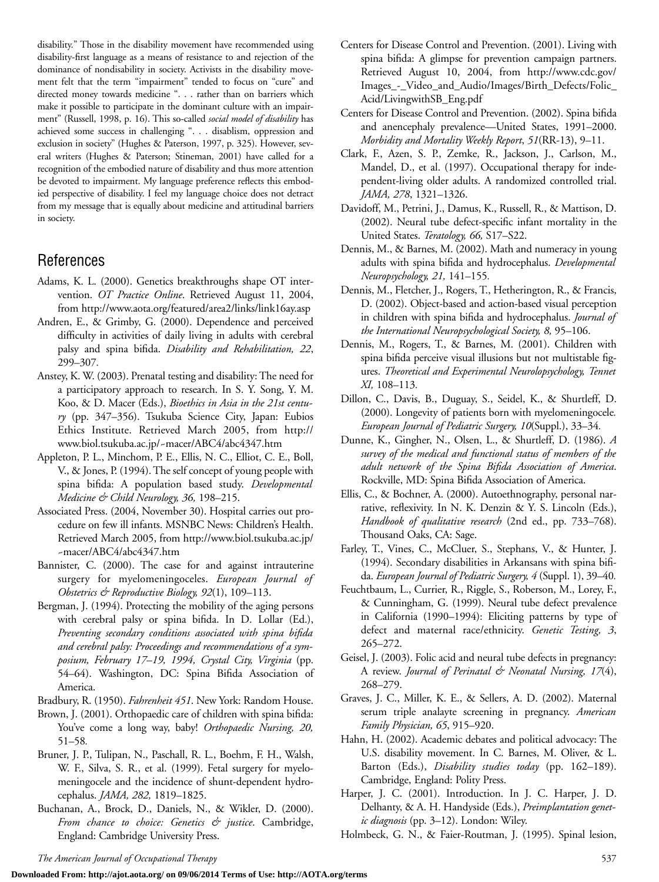disability." Those in the disability movement have recommended using disability-first language as a means of resistance to and rejection of the dominance of nondisability in society. Activists in the disability movement felt that the term "impairment" tended to focus on "cure" and directed money towards medicine ". . . rather than on barriers which make it possible to participate in the dominant culture with an impairment" (Russell, 1998, p. 16). This so-called *social model of disability* has achieved some success in challenging ". . . disablism, oppression and exclusion in society" (Hughes & Paterson, 1997, p. 325). However, several writers (Hughes & Paterson; Stineman, 2001) have called for a recognition of the embodied nature of disability and thus more attention be devoted to impairment. My language preference reflects this embodied perspective of disability. I feel my language choice does not detract from my message that is equally about medicine and attitudinal barriers in society.

### References

- Adams, K. L. (2000). Genetics breakthroughs shape OT intervention. *OT Practice Online*. Retrieved August 11, 2004, from http://www.aota.org/featured/area2/links/link16ay.asp
- Andren, E., & Grimby, G. (2000). Dependence and perceived difficulty in activities of daily living in adults with cerebral palsy and spina bifida. *Disability and Rehabilitation, 22*, 299–307*.*
- Anstey, K. W. (2003). Prenatal testing and disability: The need for a participatory approach to research. In S. Y. Song, Y. M. Koo, & D. Macer (Eds.), *Bioethics in Asia in the 21st century* (pp. 347–356). Tsukuba Science City, Japan: Eubios Ethics Institute. Retrieved March 2005, from http:// www.biol.tsukuba.ac.jp/~macer/ABC4/abc4347.htm
- Appleton, P. L., Minchom, P. E., Ellis, N. C., Elliot, C. E., Boll, V., & Jones, P. (1994). The self concept of young people with spina bifida: A population based study. *Developmental Medicine & Child Neurology, 36,* 198–215.
- Associated Press. (2004, November 30). Hospital carries out procedure on few ill infants. MSNBC News: Children's Health. Retrieved March 2005, from http://www.biol.tsukuba.ac.jp/ ~macer/ABC4/abc4347.htm
- Bannister, C. (2000). The case for and against intrauterine surgery for myelomeningoceles. *European Journal of Obstetrics & Reproductive Biology, 92*(1), 109–113.
- Bergman, J. (1994). Protecting the mobility of the aging persons with cerebral palsy or spina bifida. In D. Lollar (Ed.), *Preventing secondary conditions associated with spina bifida and cerebral palsy: Proceedings and recommendations of a symposium, February 17–19, 1994, Crystal City, Virginia* (pp. 54–64). Washington, DC: Spina Bifida Association of America.
- Bradbury, R. (1950). *Fahrenheit 451*. New York: Random House.
- Brown, J. (2001). Orthopaedic care of children with spina bifida: You've come a long way, baby! *Orthopaedic Nursing, 20,* 51–58*.*
- Bruner, J. P., Tulipan, N., Paschall, R. L., Boehm, F. H., Walsh, W. F., Silva, S. R., et al. (1999). Fetal surgery for myelomeningocele and the incidence of shunt-dependent hydrocephalus. *JAMA, 282,* 1819–1825.
- Buchanan, A., Brock, D., Daniels, N., & Wikler, D. (2000). *From chance to choice: Genetics & justice*. Cambridge, England: Cambridge University Press.
- Centers for Disease Control and Prevention. (2001). Living with spina bifida: A glimpse for prevention campaign partners. Retrieved August 10, 2004, from http://www.cdc.gov/ Images\_-\_Video\_and\_Audio/Images/Birth\_Defects/Folic\_ Acid/LivingwithSB\_Eng.pdf
- Centers for Disease Control and Prevention. (2002). Spina bifida and anencephaly prevalence—United States, 1991–2000. *Morbidity and Mortality Weekly Report*, *51*(RR-13), 9–11.
- Clark, F., Azen, S. P., Zemke, R., Jackson, J., Carlson, M., Mandel, D., et al. (1997). Occupational therapy for independent-living older adults. A randomized controlled trial. *JAMA, 278*, 1321–1326.
- Davidoff, M., Petrini, J., Damus, K., Russell, R., & Mattison, D. (2002). Neural tube defect-specific infant mortality in the United States. *Teratology, 66,* S17–S22.
- Dennis, M., & Barnes, M. (2002). Math and numeracy in young adults with spina bifida and hydrocephalus. *Developmental Neuropsychology, 21,* 141–155*.*
- Dennis, M., Fletcher, J., Rogers, T., Hetherington, R., & Francis, D. (2002). Object-based and action-based visual perception in children with spina bifida and hydrocephalus. *Journal of the International Neuropsychological Society, 8,* 95–106.
- Dennis, M., Rogers, T., & Barnes, M. (2001). Children with spina bifida perceive visual illusions but not multistable figures. *Theoretical and Experimental Neurolopsychology, Tennet XI,* 108–113*.*
- Dillon, C., Davis, B., Duguay, S., Seidel, K., & Shurtleff, D. (2000). Longevity of patients born with myelomeningocele*. European Journal of Pediatric Surgery, 10*(Suppl.), 33–34*.*
- Dunne, K., Gingher, N., Olsen, L., & Shurtleff, D. (1986). *A survey of the medical and functional status of members of the adult network of the Spina Bifida Association of America*. Rockville, MD: Spina Bifida Association of America.
- Ellis, C., & Bochner, A. (2000). Autoethnography, personal narrative, reflexivity. In N. K. Denzin & Y. S. Lincoln (Eds.), *Handbook of qualitative research* (2nd ed., pp. 733–768). Thousand Oaks, CA: Sage.
- Farley, T., Vines, C., McCluer, S., Stephans, V., & Hunter, J. (1994). Secondary disabilities in Arkansans with spina bifida. *European Journal of Pediatric Surgery, 4* (Suppl. 1), 39–40*.*
- Feuchtbaum, L., Currier, R., Riggle, S., Roberson, M., Lorey, F., & Cunningham, G. (1999). Neural tube defect prevalence in California (1990–1994): Eliciting patterns by type of defect and maternal race/ethnicity. *Genetic Testing, 3*, 265–272.
- Geisel, J. (2003). Folic acid and neural tube defects in pregnancy: A review. *Journal of Perinatal & Neonatal Nursing, 17*(4), 268–279.
- Graves, J. C., Miller, K. E., & Sellers, A. D. (2002). Maternal serum triple analayte screening in pregnancy. *American Family Physician, 65*, 915–920.
- Hahn, H. (2002). Academic debates and political advocacy: The U.S. disability movement. In C. Barnes, M. Oliver, & L. Barton (Eds.), *Disability studies today* (pp. 162–189). Cambridge, England: Polity Press.
- Harper, J. C. (2001). Introduction. In J. C. Harper, J. D. Delhanty, & A. H. Handyside (Eds.), *Preimplantation genetic diagnosis* (pp. 3–12). London: Wiley.
- Holmbeck, G. N., & Faier-Routman, J. (1995). Spinal lesion,

*The American Journal of Occupational Therapy* 537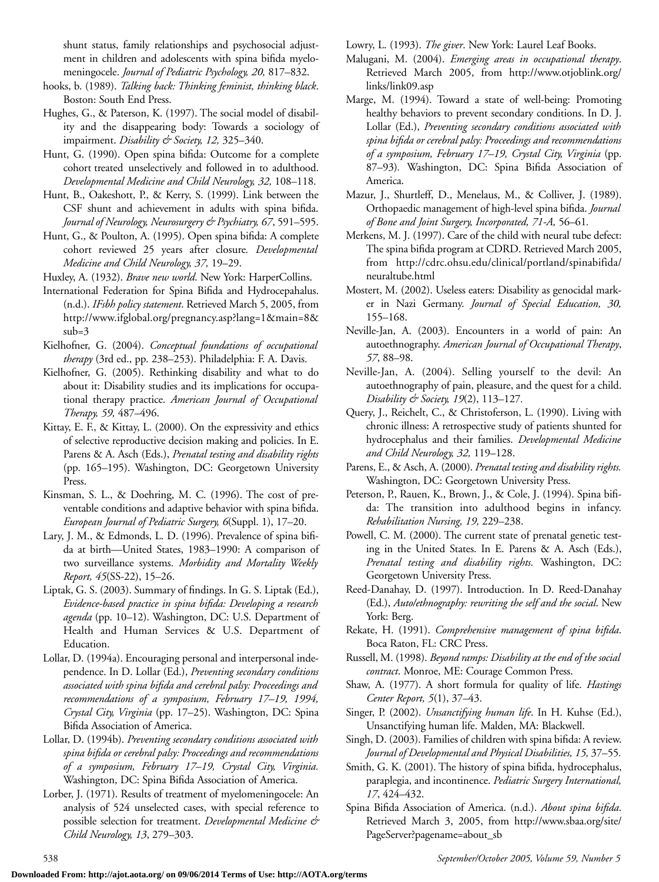shunt status, family relationships and psychosocial adjustment in children and adolescents with spina bifida myelomeningocele. *Journal of Pediatric Psychology, 20,* 817–832.

- hooks, b. (1989). *Talking back: Thinking feminist, thinking black*. Boston: South End Press.
- Hughes, G., & Paterson, K. (1997). The social model of disability and the disappearing body: Towards a sociology of impairment. *Disability & Society, 12,* 325–340.
- Hunt, G. (1990). Open spina bifida: Outcome for a complete cohort treated unselectively and followed in to adulthood. *Developmental Medicine and Child Neurology, 32,* 108–118.
- Hunt, B., Oakeshott, P., & Kerry, S. (1999). Link between the CSF shunt and achievement in adults with spina bifida. *Journal of Neurology, Neurosurgery & Psychiatry, 67*, 591–595.
- Hunt, G., & Poulton, A. (1995). Open spina bifida: A complete cohort reviewed 25 years after closure*. Developmental Medicine and Child Neurology, 37,* 19–29.

Huxley, A. (1932). *Brave new world*. New York: HarperCollins.

- International Federation for Spina Bifida and Hydrocepahalus. (n.d.). *IFsbh policy statement*. Retrieved March 5, 2005, from http://www.ifglobal.org/pregnancy.asp?lang=1&main=8& sub=3
- Kielhofner, G. (2004). *Conceptual foundations of occupational therapy* (3rd ed., pp. 238–253). Philadelphia: F. A. Davis.
- Kielhofner, G. (2005). Rethinking disability and what to do about it: Disability studies and its implications for occupational therapy practice. *American Journal of Occupational Therapy, 59,* 487–496.
- Kittay, E. F., & Kittay, L. (2000). On the expressivity and ethics of selective reproductive decision making and policies. In E. Parens & A. Asch (Eds.), *Prenatal testing and disability rights* (pp. 165–195). Washington, DC: Georgetown University Press.
- Kinsman, S. L., & Doehring, M. C. (1996). The cost of preventable conditions and adaptive behavior with spina bifida. *European Journal of Pediatric Surgery, 6*(Suppl. 1), 17–20.
- Lary, J. M., & Edmonds, L. D. (1996). Prevalence of spina bifida at birth—United States, 1983–1990: A comparison of two surveillance systems. *Morbidity and Mortality Weekly Report, 45*(SS-22), 15–26.
- Liptak, G. S. (2003). Summary of findings. In G. S. Liptak (Ed.), *Evidence-based practice in spina bifida: Developing a research agenda* (pp. 10–12). Washington, DC: U.S. Department of Health and Human Services & U.S. Department of Education.
- Lollar, D. (1994a). Encouraging personal and interpersonal independence. In D. Lollar (Ed.), *Preventing secondary conditions associated with spina bifida and cerebral palsy: Proceedings and recommendations of a symposium, February 17–19, 1994, Crystal City, Virginia* (pp. 17–25). Washington, DC: Spina Bifida Association of America.
- Lollar, D. (1994b). *Preventing secondary conditions associated with spina bifida or cerebral palsy: Proceedings and recommendations of a symposium, February 17–19, Crystal City, Virginia.* Washington, DC: Spina Bifida Association of America.
- Lorber, J. (1971). Results of treatment of myelomeningocele: An analysis of 524 unselected cases, with special reference to possible selection for treatment. *Developmental Medicine & Child Neurology, 13*, 279–303.

Lowry, L. (1993). *The giver*. New York: Laurel Leaf Books.

- Malugani, M. (2004). *Emerging areas in occupational therapy*. Retrieved March 2005, from http://www.otjoblink.org/ links/link09.asp
- Marge, M. (1994). Toward a state of well-being: Promoting healthy behaviors to prevent secondary conditions. In D. J. Lollar (Ed.), *Preventing secondary conditions associated with spina bifida or cerebral palsy: Proceedings and recommendations of a symposium, February 17–19, Crystal City, Virginia* (pp. 87–93)*.* Washington, DC: Spina Bifida Association of America.
- Mazur, J., Shurtleff, D., Menelaus, M., & Colliver, J. (1989). Orthopaedic management of high-level spina bifida. *Journal of Bone and Joint Surgery, Incorporated, 71-A,* 56–61*.*
- Merkens, M. J. (1997). Care of the child with neural tube defect: The spina bifida program at CDRD. Retrieved March 2005, from http://cdrc.ohsu.edu/clinical/portland/spinabifida/ neuraltube.html
- Mostert, M. (2002). Useless eaters: Disability as genocidal marker in Nazi Germany. *Journal of Special Education, 30,* 155–168.
- Neville-Jan, A. (2003). Encounters in a world of pain: An autoethnography. *American Journal of Occupational Therapy*, *57*, 88–98.
- Neville-Jan, A. (2004). Selling yourself to the devil: An autoethnography of pain, pleasure, and the quest for a child. *Disability & Society, 19*(2), 113–127*.*
- Query, J., Reichelt, C., & Christoferson, L. (1990). Living with chronic illness: A retrospective study of patients shunted for hydrocephalus and their families. *Developmental Medicine and Child Neurology, 32,* 119–128.
- Parens, E., & Asch, A. (2000). *Prenatal testing and disability rights.* Washington, DC: Georgetown University Press.
- Peterson, P., Rauen, K., Brown, J., & Cole, J. (1994). Spina bifida: The transition into adulthood begins in infancy. *Rehabilitation Nursing, 19,* 229–238.
- Powell, C. M. (2000). The current state of prenatal genetic testing in the United States. In E. Parens & A. Asch (Eds.), *Prenatal testing and disability rights.* Washington, DC: Georgetown University Press.
- Reed-Danahay, D. (1997). Introduction. In D. Reed-Danahay (Ed.), *Auto/ethnography: rewriting the self and the social*. New York: Berg.
- Rekate, H. (1991). *Comprehensive management of spina bifida*. Boca Raton, FL: CRC Press.
- Russell, M. (1998). *Beyond ramps: Disability at the end of the social contract*. Monroe, ME: Courage Common Press.
- Shaw, A. (1977). A short formula for quality of life. *Hastings Center Report, 5*(1), 37–43.
- Singer, P. (2002). *Unsanctifying human life*. In H. Kuhse (Ed.), Unsanctifying human life. Malden, MA: Blackwell.
- Singh, D. (2003). Families of children with spina bifida: A review. *Journal of Developmental and Physical Disabilities, 15,* 37–55*.*
- Smith, G. K. (2001). The history of spina bifida, hydrocephalus, paraplegia, and incontinence. *Pediatric Surgery International, 17*, 424–432.
- Spina Bifida Association of America. (n.d.). *About spina bifida*. Retrieved March 3, 2005, from http://www.sbaa.org/site/ PageServer?pagename=about\_sb